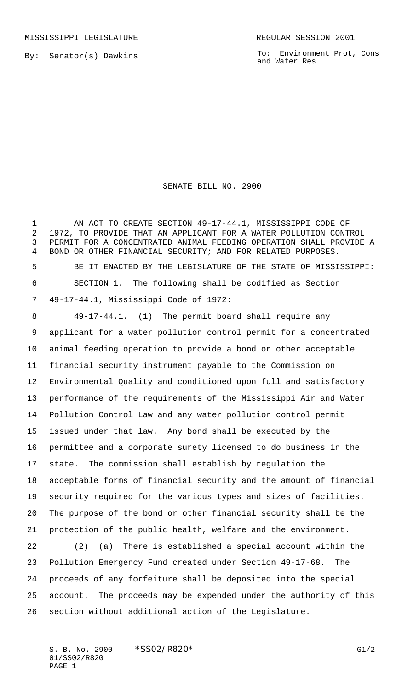By: Senator(s) Dawkins

To: Environment Prot, Cons and Water Res

## SENATE BILL NO. 2900

 AN ACT TO CREATE SECTION 49-17-44.1, MISSISSIPPI CODE OF 1972, TO PROVIDE THAT AN APPLICANT FOR A WATER POLLUTION CONTROL PERMIT FOR A CONCENTRATED ANIMAL FEEDING OPERATION SHALL PROVIDE A BOND OR OTHER FINANCIAL SECURITY; AND FOR RELATED PURPOSES. BE IT ENACTED BY THE LEGISLATURE OF THE STATE OF MISSISSIPPI: SECTION 1. The following shall be codified as Section 49-17-44.1, Mississippi Code of 1972:

8 49-17-44.1. (1) The permit board shall require any applicant for a water pollution control permit for a concentrated animal feeding operation to provide a bond or other acceptable financial security instrument payable to the Commission on Environmental Quality and conditioned upon full and satisfactory performance of the requirements of the Mississippi Air and Water Pollution Control Law and any water pollution control permit issued under that law. Any bond shall be executed by the permittee and a corporate surety licensed to do business in the state. The commission shall establish by regulation the acceptable forms of financial security and the amount of financial security required for the various types and sizes of facilities. The purpose of the bond or other financial security shall be the protection of the public health, welfare and the environment. (2) (a) There is established a special account within the Pollution Emergency Fund created under Section 49-17-68. The proceeds of any forfeiture shall be deposited into the special account. The proceeds may be expended under the authority of this

section without additional action of the Legislature.